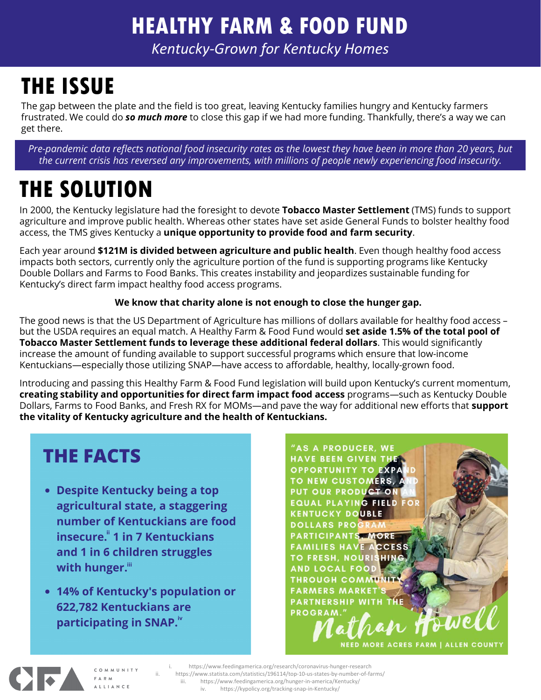### HEALTHY FARM & FOOD FUND

Kentucky-Grown for Kentucky Homes

# THE ISSUE

The gap between the plate and the field is too great, leaving Kentucky families hungry and Kentucky farmers frustrated. We could do so much more to close this gap if we had more funding. Thankfully, there's a way we can get there.

Pre-pandemic data reflects national food insecurity rates as the lowest they have been in more than 20 years, but the current crisis has reversed any improvements, with millions of people newly experiencing food insecurity.

## THE SOLUTION

In 2000, the Kentucky legislature had the foresight to devote Tobacco Master Settlement (TMS) funds to support agriculture and improve public health. Whereas other states have set aside General Funds to bolster healthy food access, the TMS gives Kentucky a unique opportunity to provide food and farm security.

Each year around \$121M is divided between agriculture and public health. Even though healthy food access impacts both sectors, currently only the agriculture portion of the fund is supporting programs like Kentucky Double Dollars and Farms to Food Banks. This creates instability and jeopardizes sustainable funding for Kentucky's direct farm impact healthy food access programs.

### We know that charity alone is not enough to close the hunger gap.

The good news is that the US Department of Agriculture has millions of dollars available for healthy food access – but the USDA requires an equal match. A Healthy Farm & Food Fund would set aside 1.5% of the total pool of Tobacco Master Settlement funds to leverage these additional federal dollars. This would significantly increase the amount of funding available to support successful programs which ensure that low-income Kentuckians—especially those utilizing SNAP—have access to affordable, healthy, locally-grown food.

Introducing and passing this Healthy Farm & Food Fund legislation will build upon Kentucky's current momentum, creating stability and opportunities for direct farm impact food access programs—such as Kentucky Double Dollars, Farms to Food Banks, and Fresh RX for MOMs—and pave the way for additional new efforts that **support** the vitality of Kentucky agriculture and the health of Kentuckians.

### **THE FACTS**

- with hunger.iii
- 

**Example 2011**<br>
ing a top<br>
operation of the seed of the seed of the seed of the seed of the seed of the second straight and put our property pounds.<br>
Truggles<br>
Truggles<br>
To result be a profession of the seed of the seed o HAVE BEEN GIVEN THE OPPORTUNITY TO EXPAND<br>
Deing a top<br>
TO NEW CUSTOMERS, AND<br>
a staggering<br>
EQUAL PLAYING FIELD FOR<br>
EXERCICIPANTS MORE<br>
ENDICATES HAVE ACCESS<br>
TO FRESH, NOURISHING<br>
INDICATES HAVE ACCESSED<br>
TO FRESH, NOUR HAVE BEEN GRAMERS MARKET'S TO BUCKLED FOR THE PROGRAM COULD THROUGH COMMUNITY TO EXPAND<br>usgering EQUAL PLAYING FIELD FOR AMERICANT START OF THE PROGRAM<br>ckians PARTICIPANTS MORE<br>uggles FAMILIES HAVE ACCESS<br>TO FRAMELIES HAVE Controller Controller Controller Controller Controller Controller Controller Controller Controller Controller Controller Controller Controller Controller Controller Controller Controller Controller Controller Controller Co

 $\bullet$ 

COMMUNITY **FARM** ALLIANCE